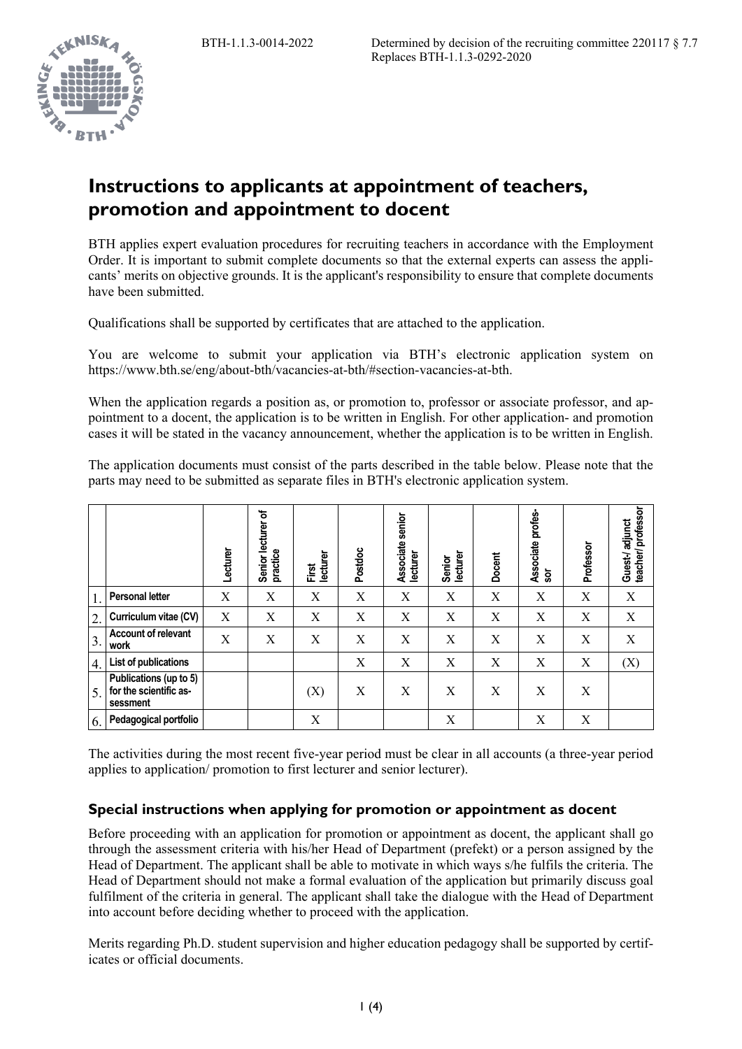

# **Instructions to applicants at appointment of teachers, promotion and appointment to docent**

BTH applies expert evaluation procedures for recruiting teachers in accordance with the Employment Order. It is important to submit complete documents so that the external experts can assess the applicants' merits on objective grounds. It is the applicant's responsibility to ensure that complete documents have been submitted.

Qualifications shall be supported by certificates that are attached to the application.

You are welcome to submit your application via BTH's electronic application system on https://www.bth.se/eng/about-bth/vacancies-at-bth/#section-vacancies-at-bth.

When the application regards a position as, or promotion to, professor or associate professor, and appointment to a docent, the application is to be written in English. For other application- and promotion cases it will be stated in the vacancy announcement, whether the application is to be written in English.

The application documents must consist of the parts described in the table below. Please note that the parts may need to be submitted as separate files in BTH's electronic application system.

|                  |                                                              | Lecturer | Senior lecturer of<br>practice | lecturer<br>First | Postdoc | senior<br>Associate<br>lecturer | lecturer<br>Senior | Docent | profes-<br>Associate<br><b>Sor</b> | Professor | Guest-/adjunct<br>teacher/professor |
|------------------|--------------------------------------------------------------|----------|--------------------------------|-------------------|---------|---------------------------------|--------------------|--------|------------------------------------|-----------|-------------------------------------|
| 1.               | <b>Personal letter</b>                                       | X        | X                              | X                 | X       | X                               | X                  | X      | X                                  | X         | X                                   |
| 2.               | Curriculum vitae (CV)                                        | X        | X                              | X                 | X       | X                               | X                  | X      | X                                  | X         | X                                   |
| 3.               | <b>Account of relevant</b><br>work                           | X        | X                              | X                 | X       | X                               | X                  | X      | X                                  | X         | X                                   |
| $\overline{4}$ . | List of publications                                         |          |                                |                   | X       | X                               | X                  | X      | X                                  | X         | (X)                                 |
| 5.               | Publications (up to 5)<br>for the scientific as-<br>sessment |          |                                | (X)               | X       | X                               | X                  | X      | X                                  | X         |                                     |
| 6.               | Pedagogical portfolio                                        |          |                                | X                 |         |                                 | X                  |        | X                                  | X         |                                     |

The activities during the most recent five-year period must be clear in all accounts (a three-year period applies to application/ promotion to first lecturer and senior lecturer).

#### **Special instructions when applying for promotion or appointment as docent**

Before proceeding with an application for promotion or appointment as docent, the applicant shall go through the assessment criteria with his/her Head of Department (prefekt) or a person assigned by the Head of Department. The applicant shall be able to motivate in which ways s/he fulfils the criteria. The Head of Department should not make a formal evaluation of the application but primarily discuss goal fulfilment of the criteria in general. The applicant shall take the dialogue with the Head of Department into account before deciding whether to proceed with the application.

Merits regarding Ph.D. student supervision and higher education pedagogy shall be supported by certificates or official documents.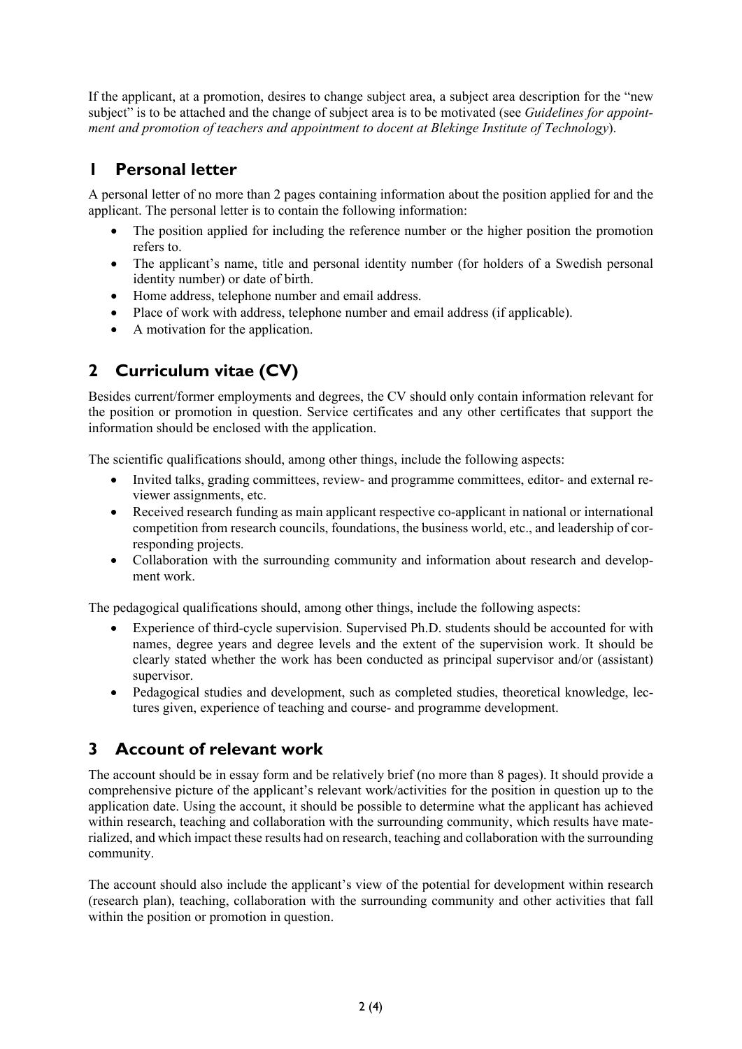If the applicant, at a promotion, desires to change subject area, a subject area description for the "new subject" is to be attached and the change of subject area is to be motivated (see *Guidelines for appointment and promotion of teachers and appointment to docent at Blekinge Institute of Technology*).

## **1 Personal letter**

A personal letter of no more than 2 pages containing information about the position applied for and the applicant. The personal letter is to contain the following information:

- The position applied for including the reference number or the higher position the promotion refers to.
- The applicant's name, title and personal identity number (for holders of a Swedish personal identity number) or date of birth.
- Home address, telephone number and email address.
- Place of work with address, telephone number and email address (if applicable).
- A motivation for the application.

# **2 Curriculum vitae (CV)**

Besides current/former employments and degrees, the CV should only contain information relevant for the position or promotion in question. Service certificates and any other certificates that support the information should be enclosed with the application.

The scientific qualifications should, among other things, include the following aspects:

- Invited talks, grading committees, review- and programme committees, editor- and external reviewer assignments, etc.
- Received research funding as main applicant respective co-applicant in national or international competition from research councils, foundations, the business world, etc., and leadership of corresponding projects.
- Collaboration with the surrounding community and information about research and development work.

The pedagogical qualifications should, among other things, include the following aspects:

- Experience of third-cycle supervision. Supervised Ph.D. students should be accounted for with names, degree years and degree levels and the extent of the supervision work. It should be clearly stated whether the work has been conducted as principal supervisor and/or (assistant) supervisor.
- Pedagogical studies and development, such as completed studies, theoretical knowledge, lectures given, experience of teaching and course- and programme development.

#### **3 Account of relevant work**

The account should be in essay form and be relatively brief (no more than 8 pages). It should provide a comprehensive picture of the applicant's relevant work/activities for the position in question up to the application date. Using the account, it should be possible to determine what the applicant has achieved within research, teaching and collaboration with the surrounding community, which results have materialized, and which impact these results had on research, teaching and collaboration with the surrounding community.

The account should also include the applicant's view of the potential for development within research (research plan), teaching, collaboration with the surrounding community and other activities that fall within the position or promotion in question.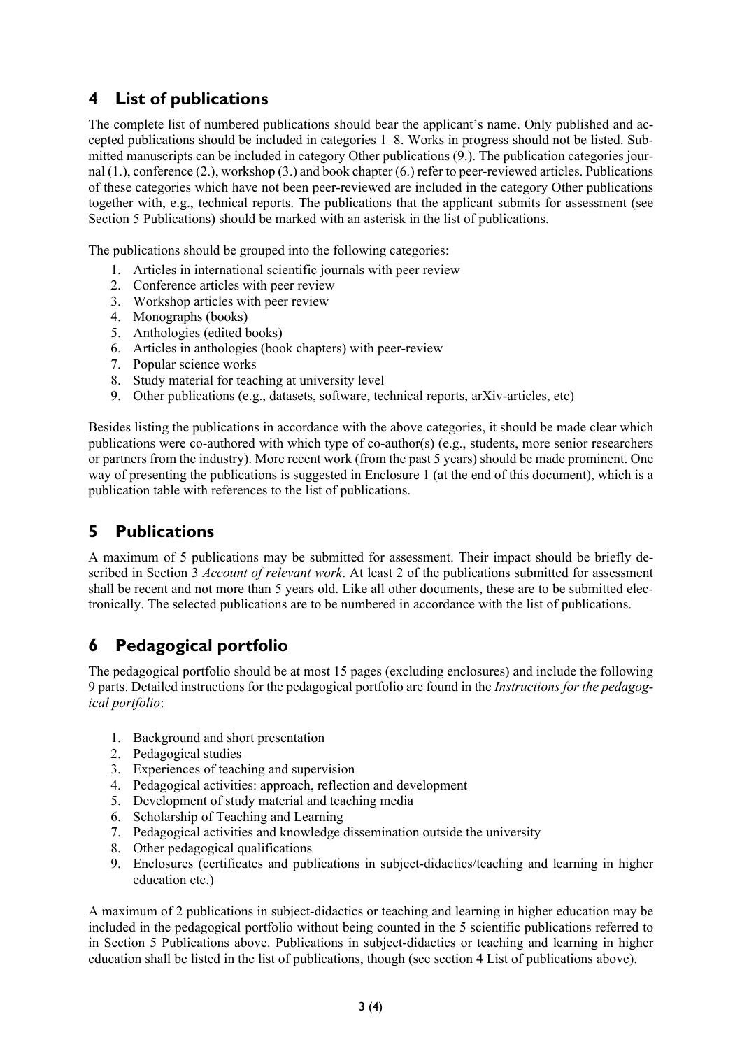### **4 List of publications**

The complete list of numbered publications should bear the applicant's name. Only published and accepted publications should be included in categories 1‒8. Works in progress should not be listed. Submitted manuscripts can be included in category Other publications (9.). The publication categories journal (1.), conference (2.), workshop (3.) and book chapter (6.) refer to peer-reviewed articles. Publications of these categories which have not been peer-reviewed are included in the category Other publications together with, e.g., technical reports. The publications that the applicant submits for assessment (see Section 5 Publications) should be marked with an asterisk in the list of publications.

The publications should be grouped into the following categories:

- 1. Articles in international scientific journals with peer review
- 2. Conference articles with peer review
- 3. Workshop articles with peer review
- 4. Monographs (books)
- 5. Anthologies (edited books)
- 6. Articles in anthologies (book chapters) with peer-review
- 7. Popular science works
- 8. Study material for teaching at university level
- 9. Other publications (e.g., datasets, software, technical reports, arXiv-articles, etc)

Besides listing the publications in accordance with the above categories, it should be made clear which publications were co-authored with which type of co-author(s) (e.g., students, more senior researchers or partners from the industry). More recent work (from the past 5 years) should be made prominent. One way of presenting the publications is suggested in Enclosure 1 (at the end of this document), which is a publication table with references to the list of publications.

### **5 Publications**

A maximum of 5 publications may be submitted for assessment. Their impact should be briefly described in Section 3 *Account of relevant work*. At least 2 of the publications submitted for assessment shall be recent and not more than 5 years old. Like all other documents, these are to be submitted electronically. The selected publications are to be numbered in accordance with the list of publications.

### **6 Pedagogical portfolio**

The pedagogical portfolio should be at most 15 pages (excluding enclosures) and include the following 9 parts. Detailed instructions for the pedagogical portfolio are found in the *Instructions for the pedagogical portfolio*:

- 1. Background and short presentation
- 2. Pedagogical studies
- 3. Experiences of teaching and supervision
- 4. Pedagogical activities: approach, reflection and development
- 5. Development of study material and teaching media
- 6. Scholarship of Teaching and Learning
- 7. Pedagogical activities and knowledge dissemination outside the university
- 8. Other pedagogical qualifications
- 9. Enclosures (certificates and publications in subject-didactics/teaching and learning in higher education etc.)

A maximum of 2 publications in subject-didactics or teaching and learning in higher education may be included in the pedagogical portfolio without being counted in the 5 scientific publications referred to in Section 5 Publications above. Publications in subject-didactics or teaching and learning in higher education shall be listed in the list of publications, though (see section 4 List of publications above).